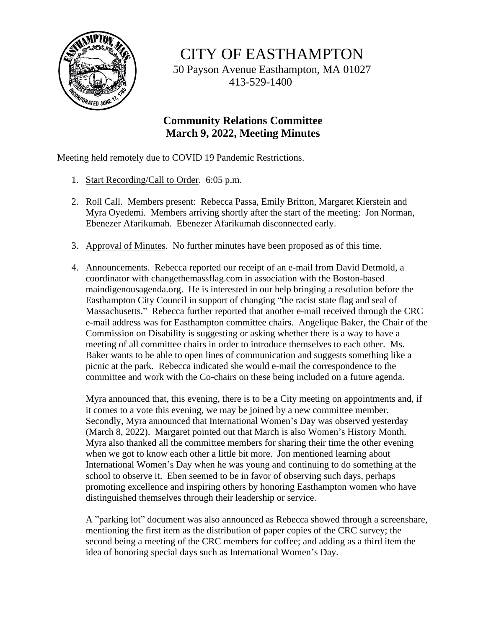

CITY OF EASTHAMPTON

50 Payson Avenue Easthampton, MA 01027 413-529-1400

## **Community Relations Committee March 9, 2022, Meeting Minutes**

Meeting held remotely due to COVID 19 Pandemic Restrictions.

- 1. Start Recording/Call to Order. 6:05 p.m.
- 2. Roll Call. Members present: Rebecca Passa, Emily Britton, Margaret Kierstein and Myra Oyedemi. Members arriving shortly after the start of the meeting: Jon Norman, Ebenezer Afarikumah. Ebenezer Afarikumah disconnected early.
- 3. Approval of Minutes. No further minutes have been proposed as of this time.
- 4. Announcements. Rebecca reported our receipt of an e-mail from David Detmold, a coordinator with changethemassflag.com in association with the Boston-based maindigenousagenda.org. He is interested in our help bringing a resolution before the Easthampton City Council in support of changing "the racist state flag and seal of Massachusetts." Rebecca further reported that another e-mail received through the CRC e-mail address was for Easthampton committee chairs. Angelique Baker, the Chair of the Commission on Disability is suggesting or asking whether there is a way to have a meeting of all committee chairs in order to introduce themselves to each other. Ms. Baker wants to be able to open lines of communication and suggests something like a picnic at the park. Rebecca indicated she would e-mail the correspondence to the committee and work with the Co-chairs on these being included on a future agenda.

Myra announced that, this evening, there is to be a City meeting on appointments and, if it comes to a vote this evening, we may be joined by a new committee member. Secondly, Myra announced that International Women's Day was observed yesterday (March 8, 2022). Margaret pointed out that March is also Women's History Month. Myra also thanked all the committee members for sharing their time the other evening when we got to know each other a little bit more. Jon mentioned learning about International Women's Day when he was young and continuing to do something at the school to observe it. Eben seemed to be in favor of observing such days, perhaps promoting excellence and inspiring others by honoring Easthampton women who have distinguished themselves through their leadership or service.

A "parking lot" document was also announced as Rebecca showed through a screenshare, mentioning the first item as the distribution of paper copies of the CRC survey; the second being a meeting of the CRC members for coffee; and adding as a third item the idea of honoring special days such as International Women's Day.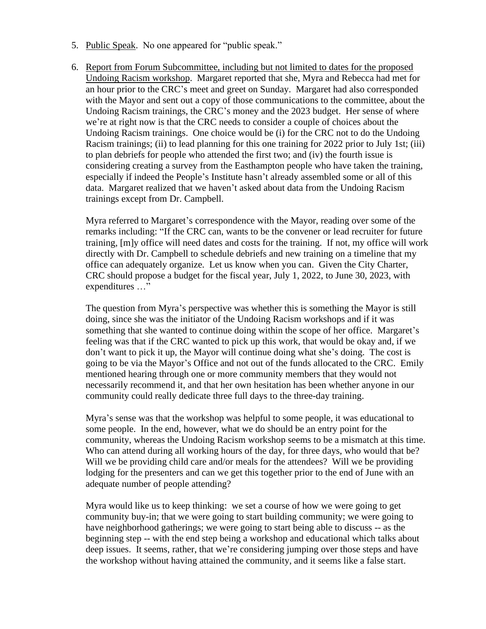- 5. Public Speak. No one appeared for "public speak."
- 6. Report from Forum Subcommittee, including but not limited to dates for the proposed Undoing Racism workshop. Margaret reported that she, Myra and Rebecca had met for an hour prior to the CRC's meet and greet on Sunday. Margaret had also corresponded with the Mayor and sent out a copy of those communications to the committee, about the Undoing Racism trainings, the CRC's money and the 2023 budget. Her sense of where we're at right now is that the CRC needs to consider a couple of choices about the Undoing Racism trainings. One choice would be (i) for the CRC not to do the Undoing Racism trainings; (ii) to lead planning for this one training for 2022 prior to July 1st; (iii) to plan debriefs for people who attended the first two; and (iv) the fourth issue is considering creating a survey from the Easthampton people who have taken the training, especially if indeed the People's Institute hasn't already assembled some or all of this data. Margaret realized that we haven't asked about data from the Undoing Racism trainings except from Dr. Campbell.

Myra referred to Margaret's correspondence with the Mayor, reading over some of the remarks including: "If the CRC can, wants to be the convener or lead recruiter for future training, [m]y office will need dates and costs for the training. If not, my office will work directly with Dr. Campbell to schedule debriefs and new training on a timeline that my office can adequately organize. Let us know when you can. Given the City Charter, CRC should propose a budget for the fiscal year, July 1, 2022, to June 30, 2023, with expenditures …"

The question from Myra's perspective was whether this is something the Mayor is still doing, since she was the initiator of the Undoing Racism workshops and if it was something that she wanted to continue doing within the scope of her office. Margaret's feeling was that if the CRC wanted to pick up this work, that would be okay and, if we don't want to pick it up, the Mayor will continue doing what she's doing. The cost is going to be via the Mayor's Office and not out of the funds allocated to the CRC. Emily mentioned hearing through one or more community members that they would not necessarily recommend it, and that her own hesitation has been whether anyone in our community could really dedicate three full days to the three-day training.

Myra's sense was that the workshop was helpful to some people, it was educational to some people. In the end, however, what we do should be an entry point for the community, whereas the Undoing Racism workshop seems to be a mismatch at this time. Who can attend during all working hours of the day, for three days, who would that be? Will we be providing child care and/or meals for the attendees? Will we be providing lodging for the presenters and can we get this together prior to the end of June with an adequate number of people attending?

Myra would like us to keep thinking: we set a course of how we were going to get community buy-in; that we were going to start building community; we were going to have neighborhood gatherings; we were going to start being able to discuss -- as the beginning step -- with the end step being a workshop and educational which talks about deep issues. It seems, rather, that we're considering jumping over those steps and have the workshop without having attained the community, and it seems like a false start.